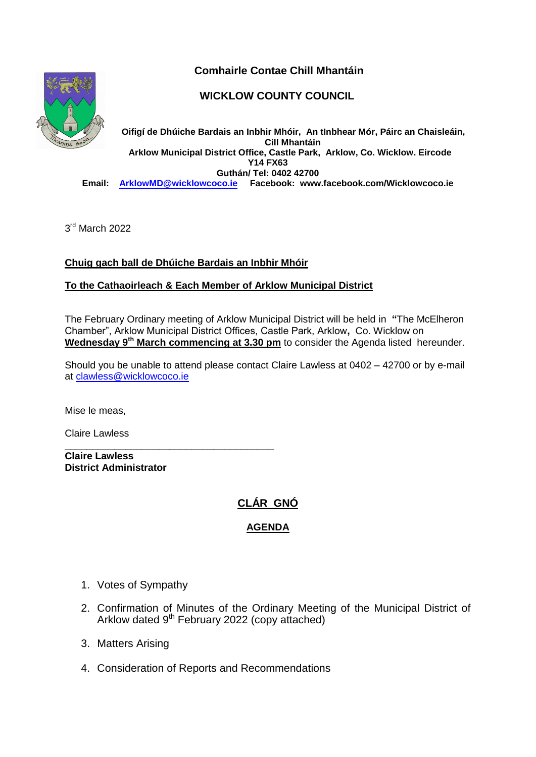

# **Comhairle Contae Chill Mhantáin**

## **WICKLOW COUNTY COUNCIL**

**Oifigí de Dhúiche Bardais an Inbhir Mhóir, An tInbhear Mór, Páirc an Chaisleáin, Cill Mhantáin Arklow Municipal District Office, Castle Park, Arklow, Co. Wicklow. Eircode Y14 FX63 Guthán/ Tel: 0402 42700<br>Email:** ArklowMD@wicklowcoco.ie Facebook: www **Email: [ArklowMD@wicklowcoco.ie](mailto:ArklowMD@wicklowcoco.ie) Facebook: www.facebook.com/Wicklowcoco.ie**

3<sup>rd</sup> March 2022

### **Chuig gach ball de Dhúiche Bardais an Inbhir Mhóir**

\_\_\_\_\_\_\_\_\_\_\_\_\_\_\_\_\_\_\_\_\_\_\_\_\_\_\_\_\_\_\_\_\_\_\_\_\_\_

#### **To the Cathaoirleach & Each Member of Arklow Municipal District**

The February Ordinary meeting of Arklow Municipal District will be held in **"**The McElheron Chamber", Arklow Municipal District Offices, Castle Park, Arklow**,** Co. Wicklow on Wednesday 9<sup>th</sup> March commencing at 3.30 pm to consider the Agenda listed hereunder.

Should you be unable to attend please contact Claire Lawless at 0402 – 42700 or by e-mail at [clawless@wicklowcoco.ie](mailto:clawless@wicklowcoco.ie)

Mise le meas,

Claire Lawless

**Claire Lawless District Administrator** 

## **CLÁR GNÓ**

### **AGENDA**

- 1. Votes of Sympathy
- 2. Confirmation of Minutes of the Ordinary Meeting of the Municipal District of Arklow dated 9<sup>th</sup> February 2022 (copy attached)
- 3. Matters Arising
- 4. Consideration of Reports and Recommendations